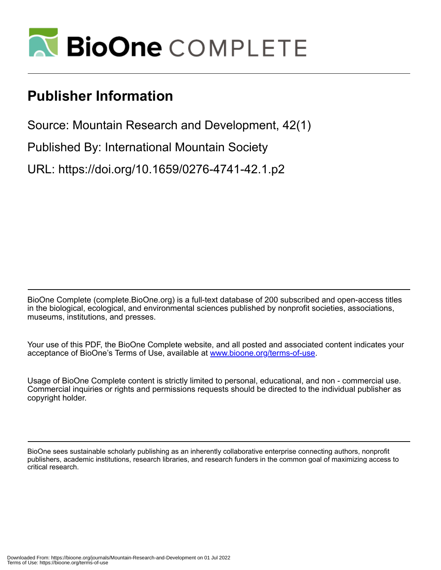

# **Publisher Information**

Source: Mountain Research and Development, 42(1)

Published By: International Mountain Society

URL: https://doi.org/10.1659/0276-4741-42.1.p2

BioOne Complete (complete.BioOne.org) is a full-text database of 200 subscribed and open-access titles in the biological, ecological, and environmental sciences published by nonprofit societies, associations, museums, institutions, and presses.

Your use of this PDF, the BioOne Complete website, and all posted and associated content indicates your acceptance of BioOne's Terms of Use, available at www.bioone.org/terms-of-use.

Usage of BioOne Complete content is strictly limited to personal, educational, and non - commercial use. Commercial inquiries or rights and permissions requests should be directed to the individual publisher as copyright holder.

BioOne sees sustainable scholarly publishing as an inherently collaborative enterprise connecting authors, nonprofit publishers, academic institutions, research libraries, and research funders in the common goal of maximizing access to critical research.